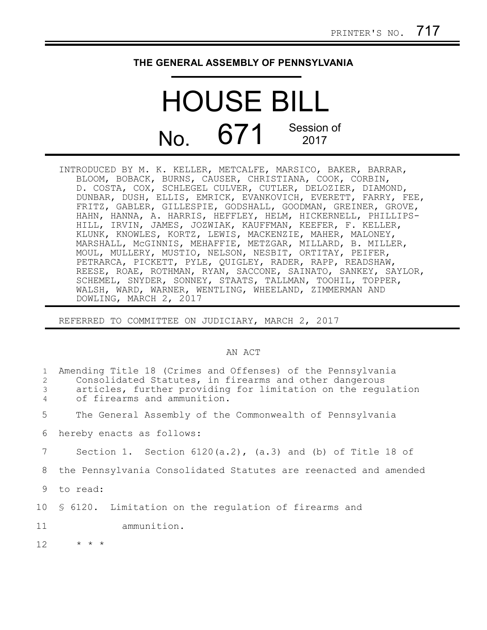## **THE GENERAL ASSEMBLY OF PENNSYLVANIA**

## HOUSE BILL  $N<sub>0</sub>$  671 Session of 2017

INTRODUCED BY M. K. KELLER, METCALFE, MARSICO, BAKER, BARRAR, BLOOM, BOBACK, BURNS, CAUSER, CHRISTIANA, COOK, CORBIN, D. COSTA, COX, SCHLEGEL CULVER, CUTLER, DELOZIER, DIAMOND, DUNBAR, DUSH, ELLIS, EMRICK, EVANKOVICH, EVERETT, FARRY, FEE, FRITZ, GABLER, GILLESPIE, GODSHALL, GOODMAN, GREINER, GROVE, HAHN, HANNA, A. HARRIS, HEFFLEY, HELM, HICKERNELL, PHILLIPS-HILL, IRVIN, JAMES, JOZWIAK, KAUFFMAN, KEEFER, F. KELLER, KLUNK, KNOWLES, KORTZ, LEWIS, MACKENZIE, MAHER, MALONEY, MARSHALL, McGINNIS, MEHAFFIE, METZGAR, MILLARD, B. MILLER, MOUL, MULLERY, MUSTIO, NELSON, NESBIT, ORTITAY, PEIFER, PETRARCA, PICKETT, PYLE, QUIGLEY, RADER, RAPP, READSHAW, REESE, ROAE, ROTHMAN, RYAN, SACCONE, SAINATO, SANKEY, SAYLOR, SCHEMEL, SNYDER, SONNEY, STAATS, TALLMAN, TOOHIL, TOPPER, WALSH, WARD, WARNER, WENTLING, WHEELAND, ZIMMERMAN AND DOWLING, MARCH 2, 2017

REFERRED TO COMMITTEE ON JUDICIARY, MARCH 2, 2017

## AN ACT

| $\mathbf{1}$<br>2<br>3<br>4 | Amending Title 18 (Crimes and Offenses) of the Pennsylvania<br>Consolidated Statutes, in firearms and other dangerous<br>articles, further providing for limitation on the regulation<br>of firearms and ammunition. |
|-----------------------------|----------------------------------------------------------------------------------------------------------------------------------------------------------------------------------------------------------------------|
| 5                           | The General Assembly of the Commonwealth of Pennsylvania                                                                                                                                                             |
| 6                           | hereby enacts as follows:                                                                                                                                                                                            |
| 7                           | Section 1. Section $6120(a.2)$ , $(a.3)$ and (b) of Title 18 of                                                                                                                                                      |
| 8                           | the Pennsylvania Consolidated Statutes are reenacted and amended                                                                                                                                                     |
| 9                           | to read:                                                                                                                                                                                                             |
|                             | 10 § 6120. Limitation on the regulation of firearms and                                                                                                                                                              |
| 11                          | ammunition.                                                                                                                                                                                                          |
| 12 <sup>°</sup>             | $\star$ $\star$ $\star$                                                                                                                                                                                              |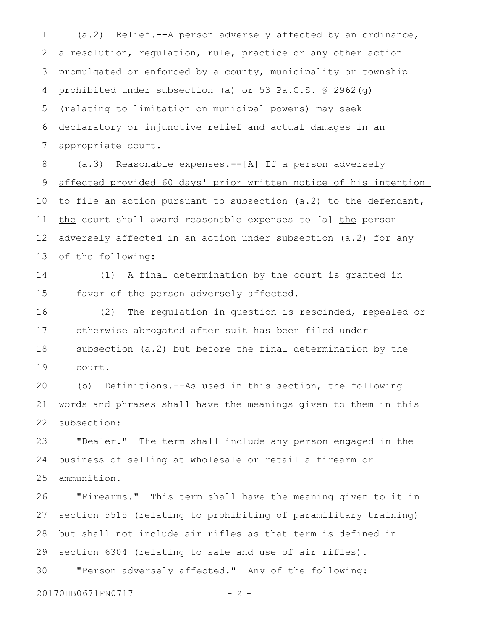(a.2) Relief.--A person adversely affected by an ordinance, a resolution, regulation, rule, practice or any other action promulgated or enforced by a county, municipality or township prohibited under subsection (a) or 53 Pa.C.S. § 2962(g) (relating to limitation on municipal powers) may seek declaratory or injunctive relief and actual damages in an appropriate court. 1 2 3 4 5 6 7

(a.3) Reasonable expenses.--[A] If a person adversely affected provided 60 days' prior written notice of his intention to file an action pursuant to subsection (a.2) to the defendant, the court shall award reasonable expenses to [a] the person adversely affected in an action under subsection (a.2) for any of the following: 8 9 10 11 12 13

(1) A final determination by the court is granted in favor of the person adversely affected. 14 15

(2) The regulation in question is rescinded, repealed or otherwise abrogated after suit has been filed under subsection (a.2) but before the final determination by the court. 16 17 18 19

(b) Definitions.--As used in this section, the following words and phrases shall have the meanings given to them in this subsection: 20 21 22

"Dealer." The term shall include any person engaged in the business of selling at wholesale or retail a firearm or ammunition. 23 24 25

"Firearms." This term shall have the meaning given to it in section 5515 (relating to prohibiting of paramilitary training) but shall not include air rifles as that term is defined in section 6304 (relating to sale and use of air rifles). "Person adversely affected." Any of the following: 26 27 28 29 30

20170HB0671PN0717 - 2 -